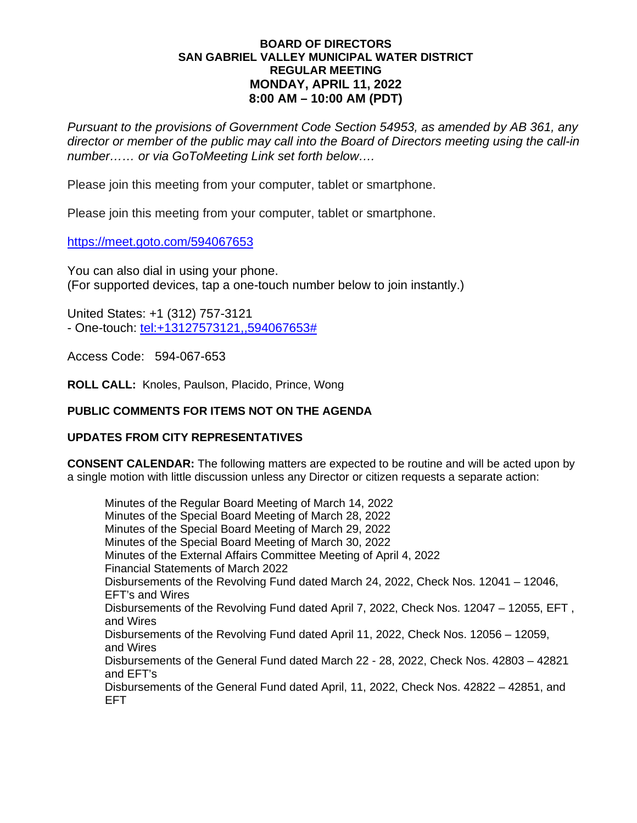#### **BOARD OF DIRECTORS SAN GABRIEL VALLEY MUNICIPAL WATER DISTRICT REGULAR MEETING MONDAY, APRIL 11, 2022 8:00 AM – 10:00 AM (PDT)**

*Pursuant to the provisions of Government Code Section 54953, as amended by AB 361, any director or member of the public may call into the Board of Directors meeting using the call-in number…… or via GoToMeeting Link set forth below….*

Please join this meeting from your computer, tablet or smartphone.

Please join this meeting from your computer, tablet or smartphone.

https://meet.goto.com/594067653

You can also dial in using your phone. (For supported devices, tap a one-touch number below to join instantly.)

United States: +1 (312) 757-3121 - One-touch: [tel:+13127573121,,594067653#](tel:+13127573121,,594067653)

Access Code: 594-067-653

**ROLL CALL:** Knoles, Paulson, Placido, Prince, Wong

## **PUBLIC COMMENTS FOR ITEMS NOT ON THE AGENDA**

# **UPDATES FROM CITY REPRESENTATIVES**

**CONSENT CALENDAR:** The following matters are expected to be routine and will be acted upon by a single motion with little discussion unless any Director or citizen requests a separate action:

Minutes of the Regular Board Meeting of March 14, 2022 Minutes of the Special Board Meeting of March 28, 2022 Minutes of the Special Board Meeting of March 29, 2022 Minutes of the Special Board Meeting of March 30, 2022 Minutes of the External Affairs Committee Meeting of April 4, 2022 Financial Statements of March 2022 Disbursements of the Revolving Fund dated March 24, 2022, Check Nos. 12041 – 12046, EFT's and Wires Disbursements of the Revolving Fund dated April 7, 2022, Check Nos. 12047 – 12055, EFT , and Wires Disbursements of the Revolving Fund dated April 11, 2022, Check Nos. 12056 – 12059, and Wires Disbursements of the General Fund dated March 22 - 28, 2022, Check Nos. 42803 – 42821 and EFT's Disbursements of the General Fund dated April, 11, 2022, Check Nos. 42822 – 42851, and EFT